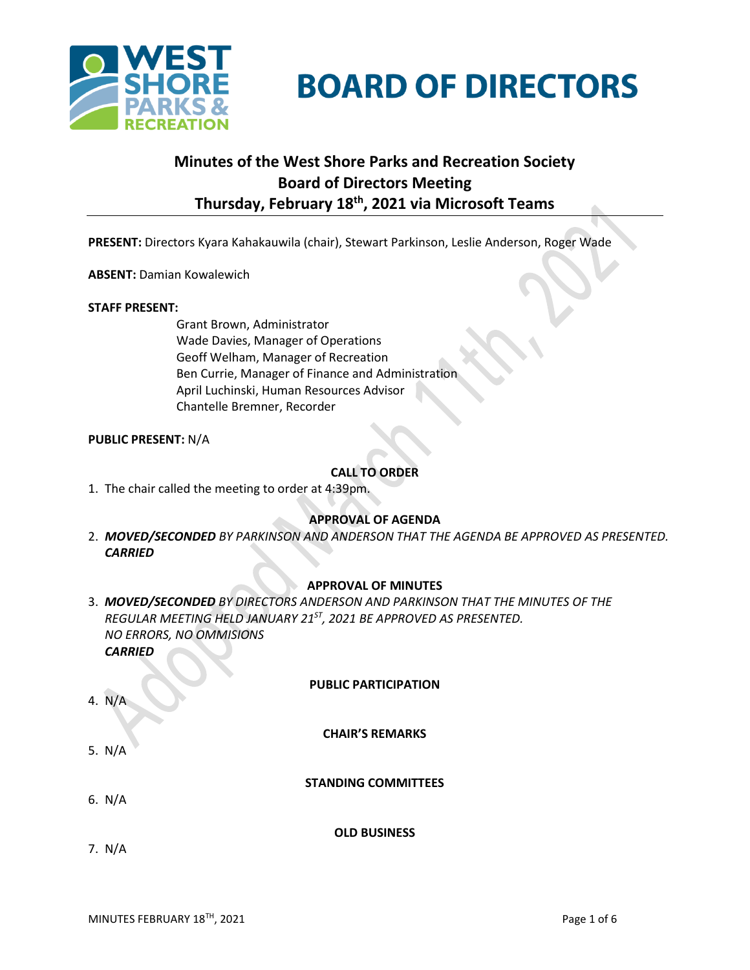

**BOARD OF DIRECTORS** 

# **Minutes of the West Shore Parks and Recreation Society Board of Directors Meeting Thursday, February 18 th , 2021 via Microsoft Teams**

**PRESENT:** Directors Kyara Kahakauwila (chair), Stewart Parkinson, Leslie Anderson, Roger Wade

**ABSENT:** Damian Kowalewich

### **STAFF PRESENT:**

Grant Brown, Administrator Wade Davies, Manager of Operations Geoff Welham, Manager of Recreation Ben Currie, Manager of Finance and Administration April Luchinski, Human Resources Advisor Chantelle Bremner, Recorder

### **PUBLIC PRESENT:** N/A

### **CALL TO ORDER**

1. The chair called the meeting to order at 4:39pm.

### **APPROVAL OF AGENDA**

2. *MOVED/SECONDED BY PARKINSON AND ANDERSON THAT THE AGENDA BE APPROVED AS PRESENTED. CARRIED*

### **APPROVAL OF MINUTES**

3. *MOVED/SECONDED BY DIRECTORS ANDERSON AND PARKINSON THAT THE MINUTES OF THE REGULAR MEETING HELD JANUARY 21ST, 2021 BE APPROVED AS PRESENTED. NO ERRORS, NO OMMISIONS CARRIED*

### **PUBLIC PARTICIPATION**

**CHAIR'S REMARKS**

5. N/A

4. N/A

**STANDING COMMITTEES**

6. N/A

**OLD BUSINESS**

7. N/A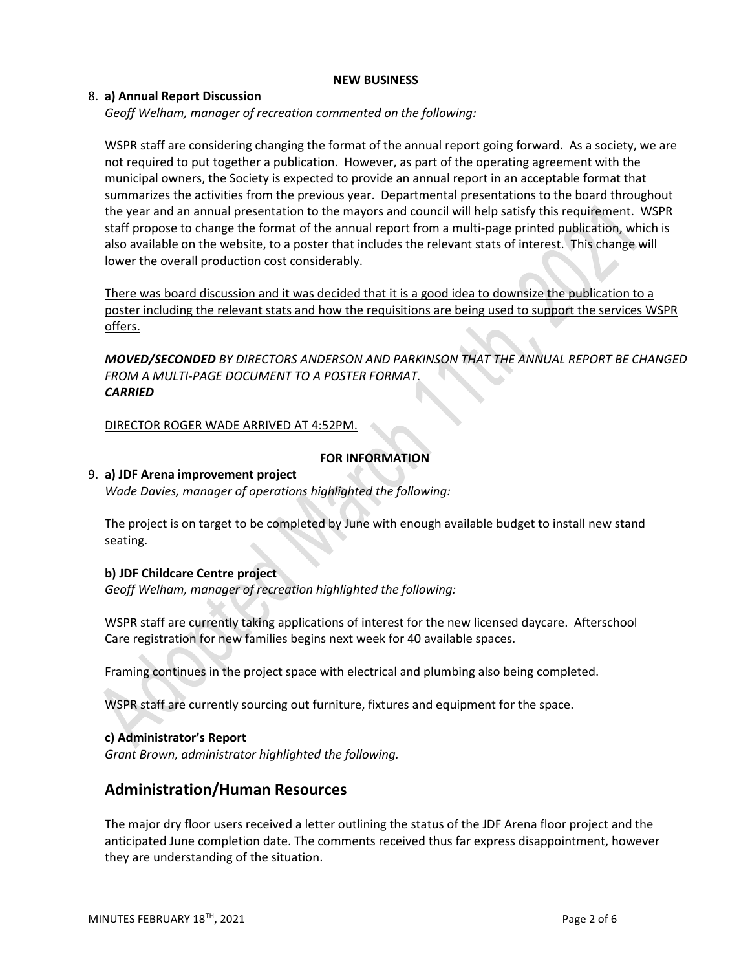### **NEW BUSINESS**

### 8. **a) Annual Report Discussion**

*Geoff Welham, manager of recreation commented on the following:*

WSPR staff are considering changing the format of the annual report going forward. As a society, we are not required to put together a publication. However, as part of the operating agreement with the municipal owners, the Society is expected to provide an annual report in an acceptable format that summarizes the activities from the previous year. Departmental presentations to the board throughout the year and an annual presentation to the mayors and council will help satisfy this requirement. WSPR staff propose to change the format of the annual report from a multi-page printed publication, which is also available on the website, to a poster that includes the relevant stats of interest. This change will lower the overall production cost considerably.

There was board discussion and it was decided that it is a good idea to downsize the publication to a poster including the relevant stats and how the requisitions are being used to support the services WSPR offers.

*MOVED/SECONDED BY DIRECTORS ANDERSON AND PARKINSON THAT THE ANNUAL REPORT BE CHANGED FROM A MULTI-PAGE DOCUMENT TO A POSTER FORMAT. CARRIED*

DIRECTOR ROGER WADE ARRIVED AT 4:52PM.

### **FOR INFORMATION**

### 9. **a) JDF Arena improvement project**

*Wade Davies, manager of operations highlighted the following:*

The project is on target to be completed by June with enough available budget to install new stand seating.

### **b) JDF Childcare Centre project**

*Geoff Welham, manager of recreation highlighted the following:*

WSPR staff are currently taking applications of interest for the new licensed daycare. Afterschool Care registration for new families begins next week for 40 available spaces.

Framing continues in the project space with electrical and plumbing also being completed.

WSPR staff are currently sourcing out furniture, fixtures and equipment for the space.

### **c) Administrator's Report**

*Grant Brown, administrator highlighted the following.*

# **Administration/Human Resources**

The major dry floor users received a letter outlining the status of the JDF Arena floor project and the anticipated June completion date. The comments received thus far express disappointment, however they are understanding of the situation.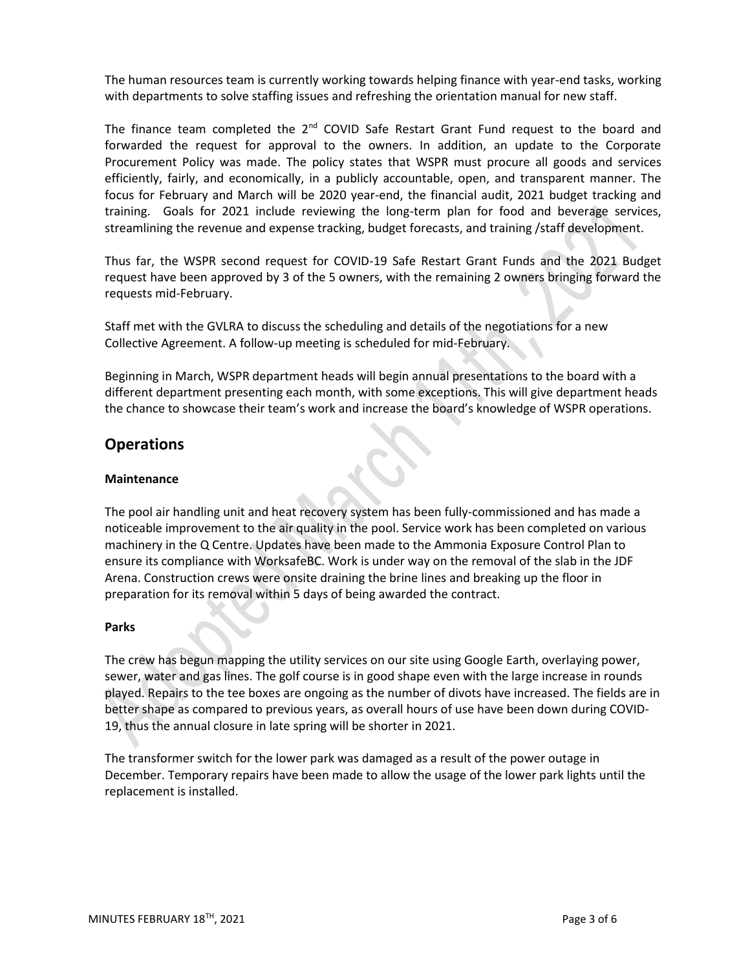The human resources team is currently working towards helping finance with year-end tasks, working with departments to solve staffing issues and refreshing the orientation manual for new staff.

The finance team completed the  $2^{nd}$  COVID Safe Restart Grant Fund request to the board and forwarded the request for approval to the owners. In addition, an update to the Corporate Procurement Policy was made. The policy states that WSPR must procure all goods and services efficiently, fairly, and economically, in a publicly accountable, open, and transparent manner. The focus for February and March will be 2020 year-end, the financial audit, 2021 budget tracking and training. Goals for 2021 include reviewing the long-term plan for food and beverage services, streamlining the revenue and expense tracking, budget forecasts, and training /staff development.

Thus far, the WSPR second request for COVID-19 Safe Restart Grant Funds and the 2021 Budget request have been approved by 3 of the 5 owners, with the remaining 2 owners bringing forward the requests mid-February.

Staff met with the GVLRA to discuss the scheduling and details of the negotiations for a new Collective Agreement. A follow-up meeting is scheduled for mid-February.

Beginning in March, WSPR department heads will begin annual presentations to the board with a different department presenting each month, with some exceptions. This will give department heads the chance to showcase their team's work and increase the board's knowledge of WSPR operations.

# **Operations**

### **Maintenance**

The pool air handling unit and heat recovery system has been fully-commissioned and has made a noticeable improvement to the air quality in the pool. Service work has been completed on various machinery in the Q Centre. Updates have been made to the Ammonia Exposure Control Plan to ensure its compliance with WorksafeBC. Work is under way on the removal of the slab in the JDF Arena. Construction crews were onsite draining the brine lines and breaking up the floor in preparation for its removal within 5 days of being awarded the contract.

### **Parks**

The crew has begun mapping the utility services on our site using Google Earth, overlaying power, sewer, water and gas lines. The golf course is in good shape even with the large increase in rounds played. Repairs to the tee boxes are ongoing as the number of divots have increased. The fields are in better shape as compared to previous years, as overall hours of use have been down during COVID-19, thus the annual closure in late spring will be shorter in 2021.

The transformer switch for the lower park was damaged as a result of the power outage in December. Temporary repairs have been made to allow the usage of the lower park lights until the replacement is installed.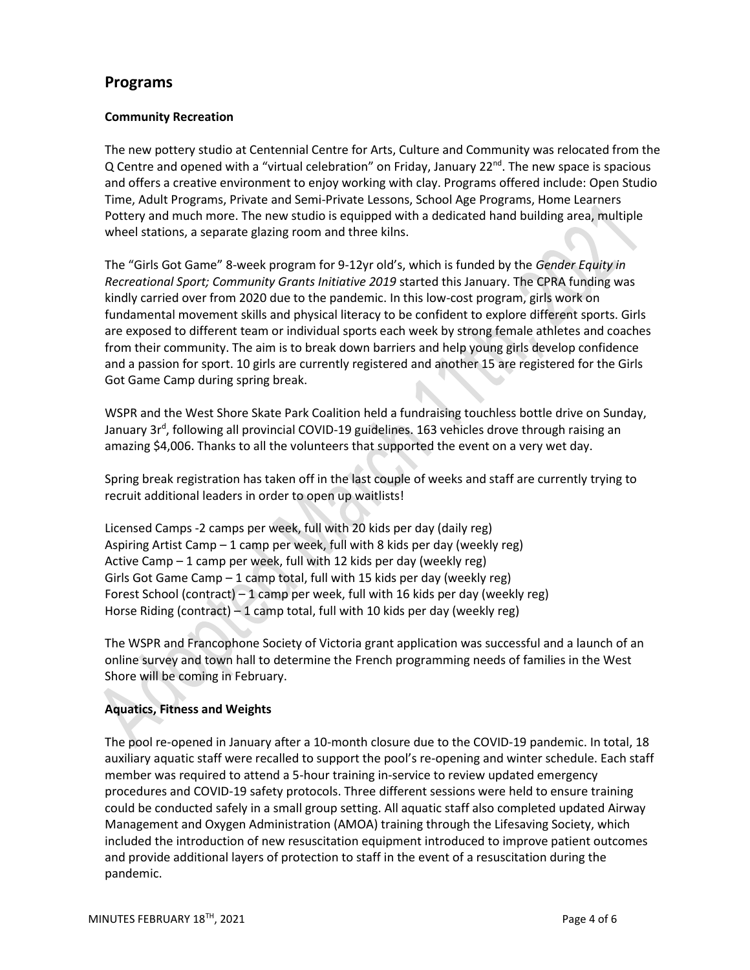# **Programs**

## **Community Recreation**

The new pottery studio at Centennial Centre for Arts, Culture and Community was relocated from the Q Centre and opened with a "virtual celebration" on Friday, January  $22^{nd}$ . The new space is spacious and offers a creative environment to enjoy working with clay. Programs offered include: Open Studio Time, Adult Programs, Private and Semi-Private Lessons, School Age Programs, Home Learners Pottery and much more. The new studio is equipped with a dedicated hand building area, multiple wheel stations, a separate glazing room and three kilns.

The "Girls Got Game" 8-week program for 9-12yr old's, which is funded by the *Gender Equity in Recreational Sport; Community Grants Initiative 2019* started this January. The CPRA funding was kindly carried over from 2020 due to the pandemic. In this low-cost program, girls work on fundamental movement skills and physical literacy to be confident to explore different sports. Girls are exposed to different team or individual sports each week by strong female athletes and coaches from their community. The aim is to break down barriers and help young girls develop confidence and a passion for sport. 10 girls are currently registered and another 15 are registered for the Girls Got Game Camp during spring break.

WSPR and the West Shore Skate Park Coalition held a fundraising touchless bottle drive on Sunday, January 3r<sup>d</sup>, following all provincial COVID-19 guidelines. 163 vehicles drove through raising an amazing \$4,006. Thanks to all the volunteers that supported the event on a very wet day.

Spring break registration has taken off in the last couple of weeks and staff are currently trying to recruit additional leaders in order to open up waitlists!

Licensed Camps -2 camps per week, full with 20 kids per day (daily reg) Aspiring Artist Camp – 1 camp per week, full with 8 kids per day (weekly reg) Active Camp – 1 camp per week, full with 12 kids per day (weekly reg) Girls Got Game Camp – 1 camp total, full with 15 kids per day (weekly reg) Forest School (contract) – 1 camp per week, full with 16 kids per day (weekly reg) Horse Riding (contract) – 1 camp total, full with 10 kids per day (weekly reg)

The WSPR and Francophone Society of Victoria grant application was successful and a launch of an online survey and town hall to determine the French programming needs of families in the West Shore will be coming in February.

# **Aquatics, Fitness and Weights**

The pool re-opened in January after a 10-month closure due to the COVID-19 pandemic. In total, 18 auxiliary aquatic staff were recalled to support the pool's re-opening and winter schedule. Each staff member was required to attend a 5-hour training in-service to review updated emergency procedures and COVID-19 safety protocols. Three different sessions were held to ensure training could be conducted safely in a small group setting. All aquatic staff also completed updated Airway Management and Oxygen Administration (AMOA) training through the Lifesaving Society, which included the introduction of new resuscitation equipment introduced to improve patient outcomes and provide additional layers of protection to staff in the event of a resuscitation during the pandemic.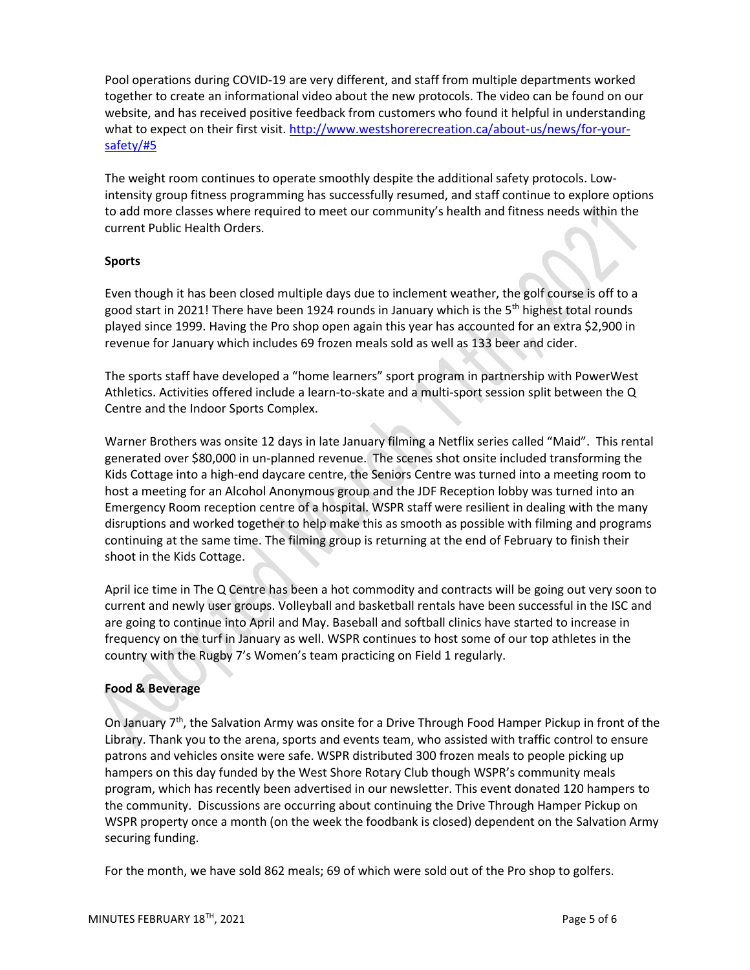Pool operations during COVID-19 are very different, and staff from multiple departments worked together to create an informational video about the new protocols. The video can be found on our website, and has received positive feedback from customers who found it helpful in understanding what to expect on their first visit. [http://www.westshorerecreation.ca/about-us/news/for-your](http://www.westshorerecreation.ca/about-us/news/for-your-safety/#5)[safety/#5](http://www.westshorerecreation.ca/about-us/news/for-your-safety/#5)

The weight room continues to operate smoothly despite the additional safety protocols. Lowintensity group fitness programming has successfully resumed, and staff continue to explore options to add more classes where required to meet our community's health and fitness needs within the current Public Health Orders.

### **Sports**

Even though it has been closed multiple days due to inclement weather, the golf course is off to a good start in 2021! There have been 1924 rounds in January which is the  $5<sup>th</sup>$  highest total rounds played since 1999. Having the Pro shop open again this year has accounted for an extra \$2,900 in revenue for January which includes 69 frozen meals sold as well as 133 beer and cider.

The sports staff have developed a "home learners" sport program in partnership with PowerWest Athletics. Activities offered include a learn-to-skate and a multi-sport session split between the Q Centre and the Indoor Sports Complex.

Warner Brothers was onsite 12 days in late January filming a Netflix series called "Maid". This rental generated over \$80,000 in un-planned revenue. The scenes shot onsite included transforming the Kids Cottage into a high-end daycare centre, the Seniors Centre was turned into a meeting room to host a meeting for an Alcohol Anonymous group and the JDF Reception lobby was turned into an Emergency Room reception centre of a hospital. WSPR staff were resilient in dealing with the many disruptions and worked together to help make this as smooth as possible with filming and programs continuing at the same time. The filming group is returning at the end of February to finish their shoot in the Kids Cottage.

April ice time in The Q Centre has been a hot commodity and contracts will be going out very soon to current and newly user groups. Volleyball and basketball rentals have been successful in the ISC and are going to continue into April and May. Baseball and softball clinics have started to increase in frequency on the turf in January as well. WSPR continues to host some of our top athletes in the country with the Rugby 7's Women's team practicing on Field 1 regularly.

# **Food & Beverage**

On January  $7<sup>th</sup>$ , the Salvation Army was onsite for a Drive Through Food Hamper Pickup in front of the Library. Thank you to the arena, sports and events team, who assisted with traffic control to ensure patrons and vehicles onsite were safe. WSPR distributed 300 frozen meals to people picking up hampers on this day funded by the West Shore Rotary Club though WSPR's community meals program, which has recently been advertised in our newsletter. This event donated 120 hampers to the community. Discussions are occurring about continuing the Drive Through Hamper Pickup on WSPR property once a month (on the week the foodbank is closed) dependent on the Salvation Army securing funding.

For the month, we have sold 862 meals; 69 of which were sold out of the Pro shop to golfers.